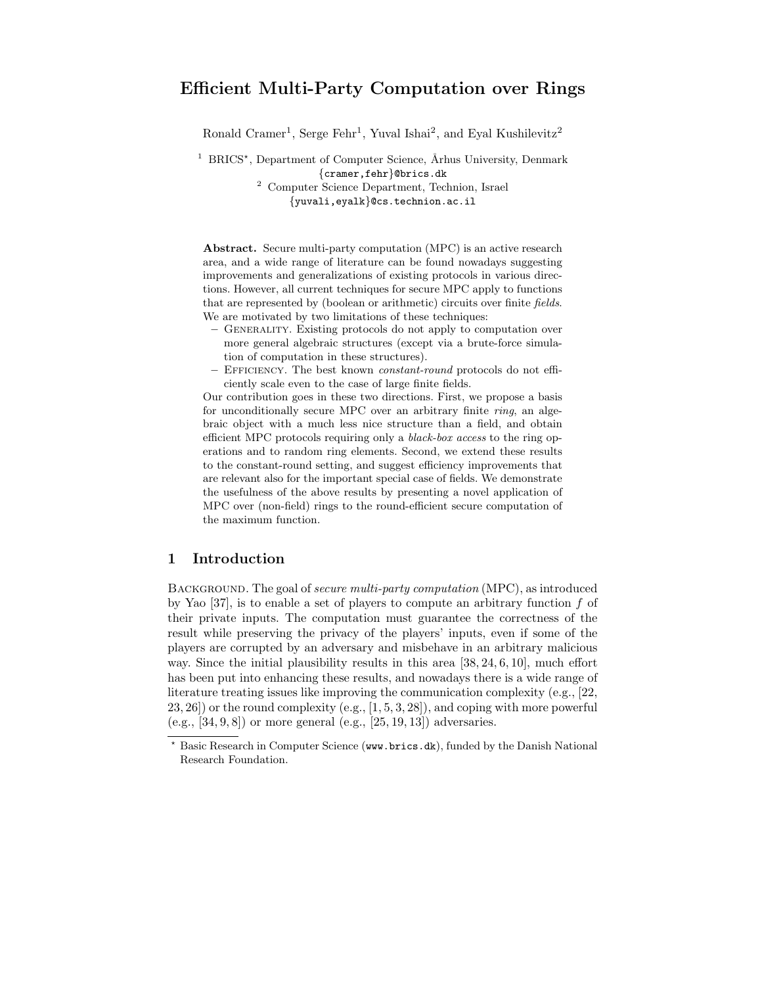# Efficient Multi-Party Computation over Rings

Ronald Cramer<sup>1</sup>, Serge Fehr<sup>1</sup>, Yuval Ishai<sup>2</sup>, and Eyal Kushilevitz<sup>2</sup>

<sup>1</sup> BRICS<sup>\*</sup>, Department of Computer Science, Århus University, Denmark {cramer,fehr}@brics.dk

<sup>2</sup> Computer Science Department, Technion, Israel {yuvali,eyalk}@cs.technion.ac.il

Abstract. Secure multi-party computation (MPC) is an active research area, and a wide range of literature can be found nowadays suggesting improvements and generalizations of existing protocols in various directions. However, all current techniques for secure MPC apply to functions that are represented by (boolean or arithmetic) circuits over finite fields. We are motivated by two limitations of these techniques:

- Generality. Existing protocols do not apply to computation over more general algebraic structures (except via a brute-force simulation of computation in these structures).
- EFFICIENCY. The best known *constant-round* protocols do not efficiently scale even to the case of large finite fields.

Our contribution goes in these two directions. First, we propose a basis for unconditionally secure MPC over an arbitrary finite *ring*, an algebraic object with a much less nice structure than a field, and obtain efficient MPC protocols requiring only a black-box access to the ring operations and to random ring elements. Second, we extend these results to the constant-round setting, and suggest efficiency improvements that are relevant also for the important special case of fields. We demonstrate the usefulness of the above results by presenting a novel application of MPC over (non-field) rings to the round-efficient secure computation of the maximum function.

### 1 Introduction

BACKGROUND. The goal of *secure multi-party computation* (MPC), as introduced by Yao [37], is to enable a set of players to compute an arbitrary function  $f$  of their private inputs. The computation must guarantee the correctness of the result while preserving the privacy of the players' inputs, even if some of the players are corrupted by an adversary and misbehave in an arbitrary malicious way. Since the initial plausibility results in this area [38, 24, 6, 10], much effort has been put into enhancing these results, and nowadays there is a wide range of literature treating issues like improving the communication complexity (e.g., [22,  $(23, 26)$  or the round complexity  $(e.g., [1, 5, 3, 28])$ , and coping with more powerful (e.g.,  $[34, 9, 8]$ ) or more general (e.g.,  $[25, 19, 13]$ ) adversaries.

<sup>?</sup> Basic Research in Computer Science (www.brics.dk), funded by the Danish National Research Foundation.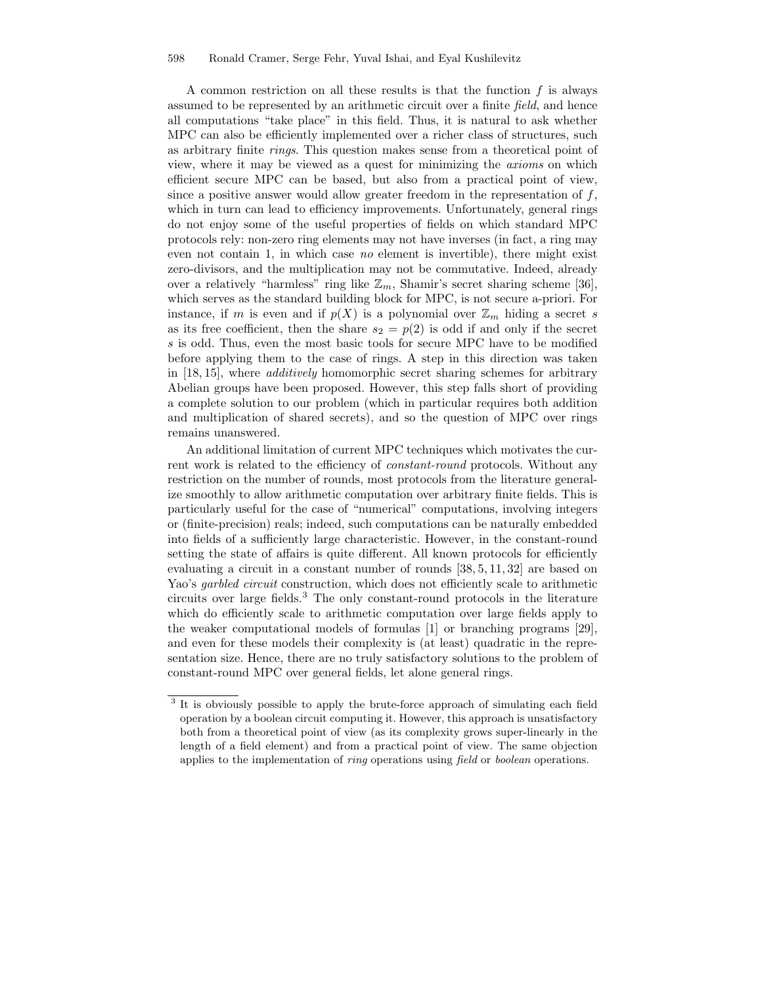#### 598 Ronald Cramer, Serge Fehr, Yuval Ishai, and Eyal Kushilevitz

A common restriction on all these results is that the function  $f$  is always assumed to be represented by an arithmetic circuit over a finite field, and hence all computations "take place" in this field. Thus, it is natural to ask whether MPC can also be efficiently implemented over a richer class of structures, such as arbitrary finite rings. This question makes sense from a theoretical point of view, where it may be viewed as a quest for minimizing the axioms on which efficient secure MPC can be based, but also from a practical point of view, since a positive answer would allow greater freedom in the representation of  $f$ , which in turn can lead to efficiency improvements. Unfortunately, general rings do not enjoy some of the useful properties of fields on which standard MPC protocols rely: non-zero ring elements may not have inverses (in fact, a ring may even not contain 1, in which case no element is invertible), there might exist zero-divisors, and the multiplication may not be commutative. Indeed, already over a relatively "harmless" ring like  $\mathbb{Z}_m$ , Shamir's secret sharing scheme [36], which serves as the standard building block for MPC, is not secure a-priori. For instance, if m is even and if  $p(X)$  is a polynomial over  $\mathbb{Z}_m$  hiding a secret s as its free coefficient, then the share  $s_2 = p(2)$  is odd if and only if the secret s is odd. Thus, even the most basic tools for secure MPC have to be modified before applying them to the case of rings. A step in this direction was taken in [18, 15], where additively homomorphic secret sharing schemes for arbitrary Abelian groups have been proposed. However, this step falls short of providing a complete solution to our problem (which in particular requires both addition and multiplication of shared secrets), and so the question of MPC over rings remains unanswered.

An additional limitation of current MPC techniques which motivates the current work is related to the efficiency of *constant-round* protocols. Without any restriction on the number of rounds, most protocols from the literature generalize smoothly to allow arithmetic computation over arbitrary finite fields. This is particularly useful for the case of "numerical" computations, involving integers or (finite-precision) reals; indeed, such computations can be naturally embedded into fields of a sufficiently large characteristic. However, in the constant-round setting the state of affairs is quite different. All known protocols for efficiently evaluating a circuit in a constant number of rounds [38, 5, 11, 32] are based on Yao's *garbled circuit* construction, which does not efficiently scale to arithmetic circuits over large fields.<sup>3</sup> The only constant-round protocols in the literature which do efficiently scale to arithmetic computation over large fields apply to the weaker computational models of formulas [1] or branching programs [29], and even for these models their complexity is (at least) quadratic in the representation size. Hence, there are no truly satisfactory solutions to the problem of constant-round MPC over general fields, let alone general rings.

<sup>&</sup>lt;sup>3</sup> It is obviously possible to apply the brute-force approach of simulating each field operation by a boolean circuit computing it. However, this approach is unsatisfactory both from a theoretical point of view (as its complexity grows super-linearly in the length of a field element) and from a practical point of view. The same objection applies to the implementation of ring operations using field or boolean operations.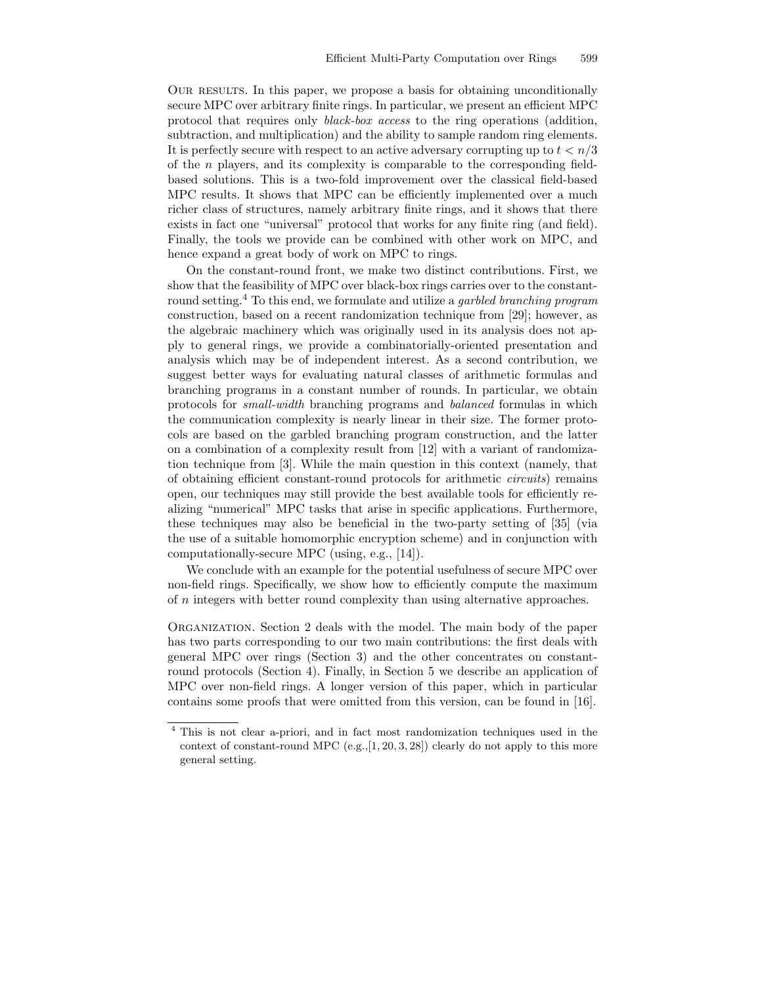OUR RESULTS. In this paper, we propose a basis for obtaining unconditionally secure MPC over arbitrary finite rings. In particular, we present an efficient MPC protocol that requires only black-box access to the ring operations (addition, subtraction, and multiplication) and the ability to sample random ring elements. It is perfectly secure with respect to an active adversary corrupting up to  $t < n/3$ of the n players, and its complexity is comparable to the corresponding fieldbased solutions. This is a two-fold improvement over the classical field-based MPC results. It shows that MPC can be efficiently implemented over a much richer class of structures, namely arbitrary finite rings, and it shows that there exists in fact one "universal" protocol that works for any finite ring (and field). Finally, the tools we provide can be combined with other work on MPC, and hence expand a great body of work on MPC to rings.

On the constant-round front, we make two distinct contributions. First, we show that the feasibility of MPC over black-box rings carries over to the constantround setting.<sup>4</sup> To this end, we formulate and utilize a *garbled branching program* construction, based on a recent randomization technique from [29]; however, as the algebraic machinery which was originally used in its analysis does not apply to general rings, we provide a combinatorially-oriented presentation and analysis which may be of independent interest. As a second contribution, we suggest better ways for evaluating natural classes of arithmetic formulas and branching programs in a constant number of rounds. In particular, we obtain protocols for small-width branching programs and balanced formulas in which the communication complexity is nearly linear in their size. The former protocols are based on the garbled branching program construction, and the latter on a combination of a complexity result from [12] with a variant of randomization technique from [3]. While the main question in this context (namely, that of obtaining efficient constant-round protocols for arithmetic circuits) remains open, our techniques may still provide the best available tools for efficiently realizing "numerical" MPC tasks that arise in specific applications. Furthermore, these techniques may also be beneficial in the two-party setting of [35] (via the use of a suitable homomorphic encryption scheme) and in conjunction with computationally-secure MPC (using, e.g., [14]).

We conclude with an example for the potential usefulness of secure MPC over non-field rings. Specifically, we show how to efficiently compute the maximum of n integers with better round complexity than using alternative approaches.

Organization. Section 2 deals with the model. The main body of the paper has two parts corresponding to our two main contributions: the first deals with general MPC over rings (Section 3) and the other concentrates on constantround protocols (Section 4). Finally, in Section 5 we describe an application of MPC over non-field rings. A longer version of this paper, which in particular contains some proofs that were omitted from this version, can be found in [16].

<sup>4</sup> This is not clear a-priori, and in fact most randomization techniques used in the context of constant-round MPC  $(e.g., [1, 20, 3, 28])$  clearly do not apply to this more general setting.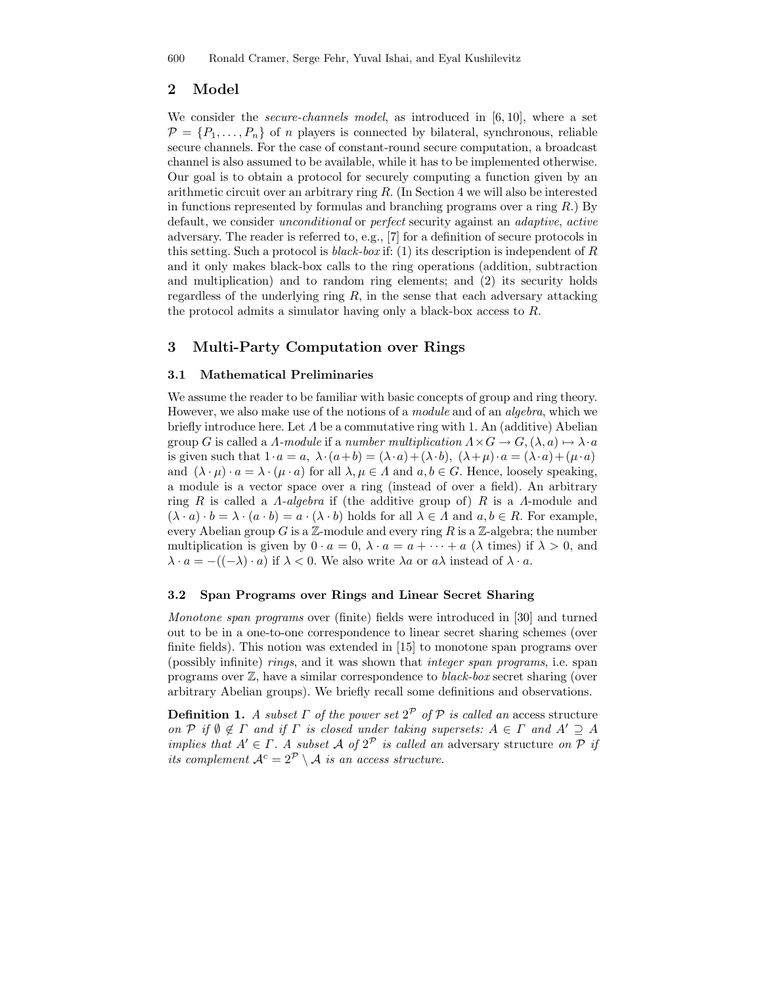# 2 Model

We consider the *secure-channels model*, as introduced in  $[6, 10]$ , where a set  $\mathcal{P} = \{P_1, \ldots, P_n\}$  of *n* players is connected by bilateral, synchronous, reliable secure channels. For the case of constant-round secure computation, a broadcast channel is also assumed to be available, while it has to be implemented otherwise. Our goal is to obtain a protocol for securely computing a function given by an arithmetic circuit over an arbitrary ring R. (In Section 4 we will also be interested in functions represented by formulas and branching programs over a ring  $R$ .) By default, we consider unconditional or perfect security against an adaptive, active adversary. The reader is referred to, e.g., [7] for a definition of secure protocols in this setting. Such a protocol is *black-box* if: (1) its description is independent of  $R$ and it only makes black-box calls to the ring operations (addition, subtraction and multiplication) and to random ring elements; and (2) its security holds regardless of the underlying ring  $R$ , in the sense that each adversary attacking the protocol admits a simulator having only a black-box access to R.

# 3 Multi-Party Computation over Rings

### 3.1 Mathematical Preliminaries

We assume the reader to be familiar with basic concepts of group and ring theory. However, we also make use of the notions of a module and of an algebra, which we briefly introduce here. Let  $\Lambda$  be a commutative ring with 1. An (additive) Abelian group G is called a  $\Lambda$ -module if a number multiplication  $\Lambda \times G \to G$ ,  $(\lambda, a) \mapsto \lambda \cdot a$ is given such that  $1 \cdot a = a$ ,  $\lambda \cdot (a+b) = (\lambda \cdot a) + (\lambda \cdot b)$ ,  $(\lambda + \mu) \cdot a = (\lambda \cdot a) + (\mu \cdot a)$ and  $(\lambda \cdot \mu) \cdot a = \lambda \cdot (\mu \cdot a)$  for all  $\lambda, \mu \in \Lambda$  and  $a, b \in G$ . Hence, loosely speaking, a module is a vector space over a ring (instead of over a field). An arbitrary ring R is called a  $\Lambda$ -algebra if (the additive group of) R is a  $\Lambda$ -module and  $(\lambda \cdot a) \cdot b = \lambda \cdot (a \cdot b) = a \cdot (\lambda \cdot b)$  holds for all  $\lambda \in \Lambda$  and  $a, b \in R$ . For example, every Abelian group G is a  $\mathbb{Z}$ -module and every ring R is a  $\mathbb{Z}$ -algebra; the number multiplication is given by  $0 \cdot a = 0$ ,  $\lambda \cdot a = a + \cdots + a$  ( $\lambda$  times) if  $\lambda > 0$ , and  $\lambda \cdot a = -((-\lambda) \cdot a)$  if  $\lambda < 0$ . We also write  $\lambda a$  or  $a\lambda$  instead of  $\lambda \cdot a$ .

### 3.2 Span Programs over Rings and Linear Secret Sharing

Monotone span programs over (finite) fields were introduced in [30] and turned out to be in a one-to-one correspondence to linear secret sharing schemes (over finite fields). This notion was extended in [15] to monotone span programs over (possibly infinite) rings, and it was shown that integer span programs, i.e. span programs over  $\mathbb{Z}$ , have a similar correspondence to *black-box* secret sharing (over arbitrary Abelian groups). We briefly recall some definitions and observations.

**Definition 1.** A subset  $\Gamma$  of the power set  $2^{\mathcal{P}}$  of  $\mathcal{P}$  is called an access structure on P if  $\emptyset \notin \Gamma$  and if  $\Gamma$  is closed under taking supersets:  $A \in \Gamma$  and  $A' \supseteq A$ implies that  $A' \in \Gamma$ . A subset A of  $2^{\mathcal{P}}$  is called an adversary structure on P if its complement  $A^c = 2^{\mathcal{P}} \setminus A$  is an access structure.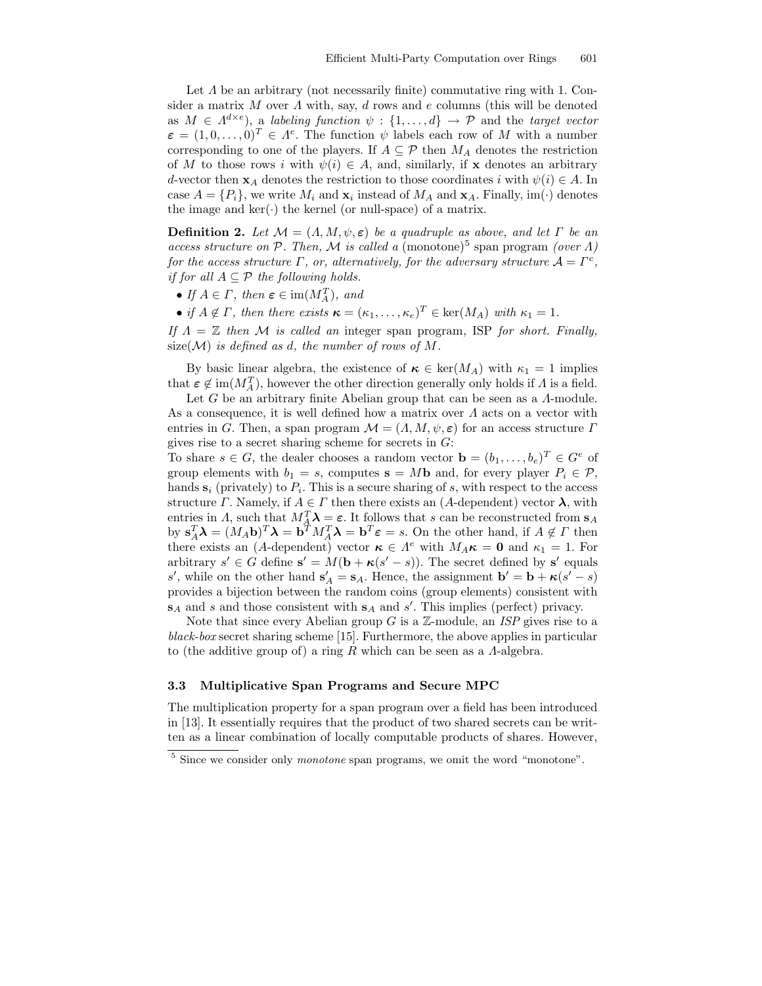Let  $\Lambda$  be an arbitrary (not necessarily finite) commutative ring with 1. Consider a matrix M over  $\Lambda$  with, say, d rows and e columns (this will be denoted as  $M \in \Lambda^{d \times e}$ , a labeling function  $\psi : \{1, \ldots, d\} \to \mathcal{P}$  and the target vector  $\varepsilon = (1, 0, \ldots, 0)^T \in \Lambda^e$ . The function  $\psi$  labels each row of M with a number corresponding to one of the players. If  $A \subseteq \mathcal{P}$  then  $M_A$  denotes the restriction of M to those rows i with  $\psi(i) \in A$ , and, similarly, if **x** denotes an arbitrary d-vector then  $x_A$  denotes the restriction to those coordinates i with  $\psi(i) \in A$ . In case  $A = \{P_i\}$ , we write  $M_i$  and  $\mathbf{x}_i$  instead of  $M_A$  and  $\mathbf{x}_A$ . Finally, im( $\cdot$ ) denotes the image and  $\ker(\cdot)$  the kernel (or null-space) of a matrix.

**Definition 2.** Let  $\mathcal{M} = (\Lambda, M, \psi, \varepsilon)$  be a quadruple as above, and let  $\Gamma$  be an access structure on P. Then, M is called a  $(\text{monotone})^5$  span program (over  $\Lambda$ ) for the access structure  $\Gamma$ , or, alternatively, for the adversary structure  $\mathcal{A} = \Gamma^c$ , *if for all*  $A \subseteq \mathcal{P}$  *the following holds.* 

- If  $A \in \Gamma$ , then  $\varepsilon \in \text{im}(M_A^T)$ , and
- if  $A \notin \Gamma$ , then there exists  $\kappa = (\kappa_1, \ldots, \kappa_e)^T \in \text{ker}(M_A)$  with  $\kappa_1 = 1$ .

If  $\Lambda = \mathbb{Z}$  then M is called an integer span program, ISP for short. Finally, size( $\mathcal{M}$ ) is defined as d, the number of rows of M.

By basic linear algebra, the existence of  $\kappa \in \text{ker}(M_A)$  with  $\kappa_1 = 1$  implies that  $\varepsilon \notin \text{im}(M_A^T)$ , however the other direction generally only holds if  $A$  is a field.

Let G be an arbitrary finite Abelian group that can be seen as a  $\Lambda$ -module. As a consequence, it is well defined how a matrix over  $\Lambda$  acts on a vector with entries in G. Then, a span program  $\mathcal{M} = (\Lambda, M, \psi, \varepsilon)$  for an access structure  $\Gamma$ gives rise to a secret sharing scheme for secrets in  $G$ :

To share  $s \in G$ , the dealer chooses a random vector  $\mathbf{b} = (b_1, \ldots, b_e)^T \in G^e$  of group elements with  $b_1 = s$ , computes  $s = Mb$  and, for every player  $P_i \in \mathcal{P}$ , hands  $s_i$  (privately) to  $P_i$ . This is a secure sharing of s, with respect to the access structure Γ. Namely, if  $A \in \Gamma$  then there exists an (A-dependent) vector  $\lambda$ , with entries in A, such that  $M_A^T \lambda = \varepsilon$ . It follows that s can be reconstructed from  $s_A$ by  $\mathbf{s}_A^T \boldsymbol{\lambda} = (M_A \mathbf{b})^T \boldsymbol{\lambda} = \mathbf{b}^T M_A^T \boldsymbol{\lambda} = \mathbf{b}^T \boldsymbol{\varepsilon} = s$ . On the other hand, if  $A \notin \Gamma$  then there exists an (A-dependent) vector  $\kappa \in \Lambda^e$  with  $M_A \kappa = 0$  and  $\kappa_1 = 1$ . For arbitrary  $s' \in G$  define  $s' = M(b + \kappa(s' - s))$ . The secret defined by s' equals s', while on the other hand  $\mathbf{s}'_A = \mathbf{s}_A$ . Hence, the assignment  $\mathbf{b}' = \mathbf{b} + \kappa(s' - s)$ provides a bijection between the random coins (group elements) consistent with  $s_A$  and s and those consistent with  $s_A$  and s'. This implies (perfect) privacy.

Note that since every Abelian group  $G$  is a  $\mathbb{Z}$ -module, an *ISP* gives rise to a black-box secret sharing scheme [15]. Furthermore, the above applies in particular to (the additive group of) a ring R which can be seen as a  $\Lambda$ -algebra.

#### 3.3 Multiplicative Span Programs and Secure MPC

The multiplication property for a span program over a field has been introduced in [13]. It essentially requires that the product of two shared secrets can be written as a linear combination of locally computable products of shares. However,

<sup>&</sup>lt;sup>5</sup> Since we consider only *monotone* span programs, we omit the word "monotone".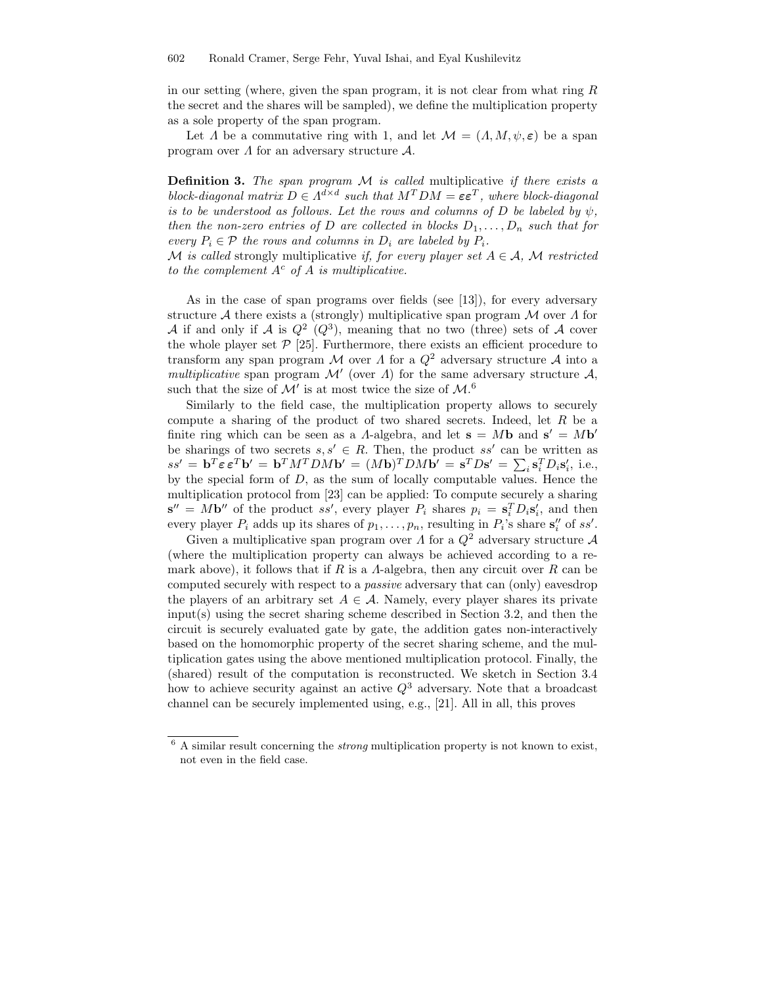in our setting (where, given the span program, it is not clear from what ring  $R$ the secret and the shares will be sampled), we define the multiplication property as a sole property of the span program.

Let  $\Lambda$  be a commutative ring with 1, and let  $\mathcal{M} = (\Lambda, M, \psi, \varepsilon)$  be a span program over  $\Lambda$  for an adversary structure  $\mathcal{A}$ .

**Definition 3.** The span program  $\mathcal M$  is called multiplicative if there exists a block-diagonal matrix  $D \in \Lambda^{d \times d}$  such that  $M^TDM = \epsilon \epsilon^T$ , where block-diagonal is to be understood as follows. Let the rows and columns of D be labeled by  $\psi$ , then the non-zero entries of D are collected in blocks  $D_1, \ldots, D_n$  such that for every  $P_i \in \mathcal{P}$  the rows and columns in  $D_i$  are labeled by  $P_i$ .

M is called strongly multiplicative if, for every player set  $A \in \mathcal{A}$ , M restricted to the complement  $A^c$  of A is multiplicative.

As in the case of span programs over fields (see [13]), for every adversary structure A there exists a (strongly) multiplicative span program  $\mathcal M$  over  $\Lambda$  for A if and only if A is  $Q^2$  ( $Q^3$ ), meaning that no two (three) sets of A cover the whole player set  $\mathcal{P}$  [25]. Furthermore, there exists an efficient procedure to transform any span program M over  $\Lambda$  for a  $Q^2$  adversary structure A into a multiplicative span program  $\mathcal{M}'$  (over  $\Lambda$ ) for the same adversary structure  $\mathcal{A}$ , such that the size of  $\mathcal{M}'$  is at most twice the size of  $\mathcal{M}$ .<sup>6</sup>

Similarly to the field case, the multiplication property allows to securely compute a sharing of the product of two shared secrets. Indeed, let R be a finite ring which can be seen as a *Λ*-algebra, and let  $\mathbf{s} = M\mathbf{b}$  and  $\mathbf{s}' = M\mathbf{b}'$ be sharings of two secrets  $s, s' \in R$ . Then, the product ss' can be written as  $ss' = \mathbf{b}^T \varepsilon \varepsilon^T \mathbf{b}' = \mathbf{b}^T M^T D M \mathbf{b}' = (M \mathbf{b})^T D M \mathbf{b}' = \mathbf{s}^T D \mathbf{s}' = \sum_i \mathbf{s}_i^T D_i \mathbf{s}_i', \text{ i.e.,}$ by the special form of  $D$ , as the sum of locally computable values. Hence the multiplication protocol from [23] can be applied: To compute securely a sharing  $\mathbf{s}'' = M\mathbf{b}''$  of the product ss', every player  $P_i$  shares  $p_i = \mathbf{s}_i^T D_i \mathbf{s}'_i$ , and then every player  $P_i$  adds up its shares of  $p_1, \ldots, p_n$ , resulting in  $P_i$ 's share  $\mathbf{s}''_i$  of  $ss'$ .

Given a multiplicative span program over  $\Lambda$  for a  $Q^2$  adversary structure  $\mathcal A$ (where the multiplication property can always be achieved according to a remark above), it follows that if R is a  $\Lambda$ -algebra, then any circuit over R can be computed securely with respect to a passive adversary that can (only) eavesdrop the players of an arbitrary set  $A \in \mathcal{A}$ . Namely, every player shares its private input(s) using the secret sharing scheme described in Section 3.2, and then the circuit is securely evaluated gate by gate, the addition gates non-interactively based on the homomorphic property of the secret sharing scheme, and the multiplication gates using the above mentioned multiplication protocol. Finally, the (shared) result of the computation is reconstructed. We sketch in Section 3.4 how to achieve security against an active  $Q^3$  adversary. Note that a broadcast channel can be securely implemented using, e.g., [21]. All in all, this proves

 $6$  A similar result concerning the *strong* multiplication property is not known to exist, not even in the field case.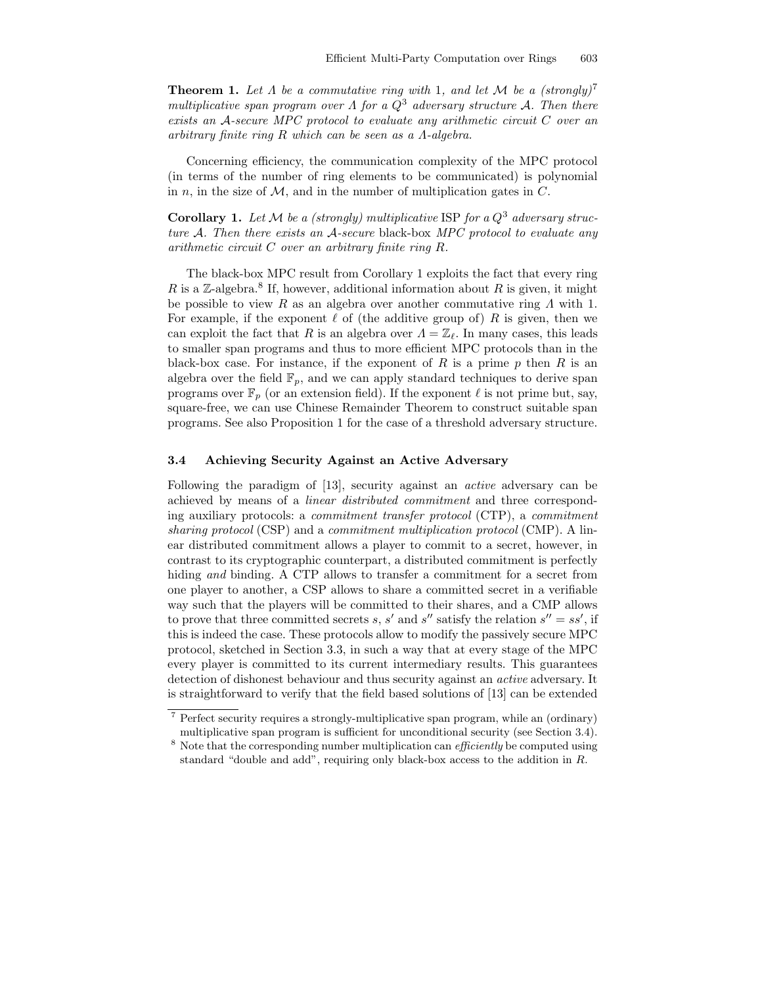**Theorem 1.** Let  $\Lambda$  be a commutative ring with 1, and let  $\mathcal M$  be a (strongly)<sup>7</sup> multiplicative span program over  $\Lambda$  for a  $Q^3$  adversary structure A. Then there exists an A-secure MPC protocol to evaluate any arithmetic circuit C over an arbitrary finite ring R which can be seen as a Λ-algebra.

Concerning efficiency, the communication complexity of the MPC protocol (in terms of the number of ring elements to be communicated) is polynomial in n, in the size of  $M$ , and in the number of multiplication gates in  $C$ .

**Corollary 1.** Let M be a (strongly) multiplicative ISP for a  $Q^3$  adversary structure A. Then there exists an A-secure black-box MPC protocol to evaluate any arithmetic circuit C over an arbitrary finite ring R.

The black-box MPC result from Corollary 1 exploits the fact that every ring R is a Z-algebra.<sup>8</sup> If, however, additional information about R is given, it might be possible to view R as an algebra over another commutative ring  $\Lambda$  with 1. For example, if the exponent  $\ell$  of (the additive group of) R is given, then we can exploit the fact that R is an algebra over  $\Lambda = \mathbb{Z}_{\ell}$ . In many cases, this leads to smaller span programs and thus to more efficient MPC protocols than in the black-box case. For instance, if the exponent of  $R$  is a prime  $p$  then  $R$  is an algebra over the field  $\mathbb{F}_n$ , and we can apply standard techniques to derive span programs over  $\mathbb{F}_p$  (or an extension field). If the exponent  $\ell$  is not prime but, say, square-free, we can use Chinese Remainder Theorem to construct suitable span programs. See also Proposition 1 for the case of a threshold adversary structure.

### 3.4 Achieving Security Against an Active Adversary

Following the paradigm of [13], security against an active adversary can be achieved by means of a linear distributed commitment and three corresponding auxiliary protocols: a commitment transfer protocol (CTP), a commitment sharing protocol (CSP) and a commitment multiplication protocol (CMP). A linear distributed commitment allows a player to commit to a secret, however, in contrast to its cryptographic counterpart, a distributed commitment is perfectly hiding and binding. A CTP allows to transfer a commitment for a secret from one player to another, a CSP allows to share a committed secret in a verifiable way such that the players will be committed to their shares, and a CMP allows to prove that three committed secrets s, s' and s'' satisfy the relation  $s'' = ss'$ , if this is indeed the case. These protocols allow to modify the passively secure MPC protocol, sketched in Section 3.3, in such a way that at every stage of the MPC every player is committed to its current intermediary results. This guarantees detection of dishonest behaviour and thus security against an active adversary. It is straightforward to verify that the field based solutions of [13] can be extended

<sup>7</sup> Perfect security requires a strongly-multiplicative span program, while an (ordinary) multiplicative span program is sufficient for unconditional security (see Section 3.4).

 $8$  Note that the corresponding number multiplication can *efficiently* be computed using standard "double and add", requiring only black-box access to the addition in R.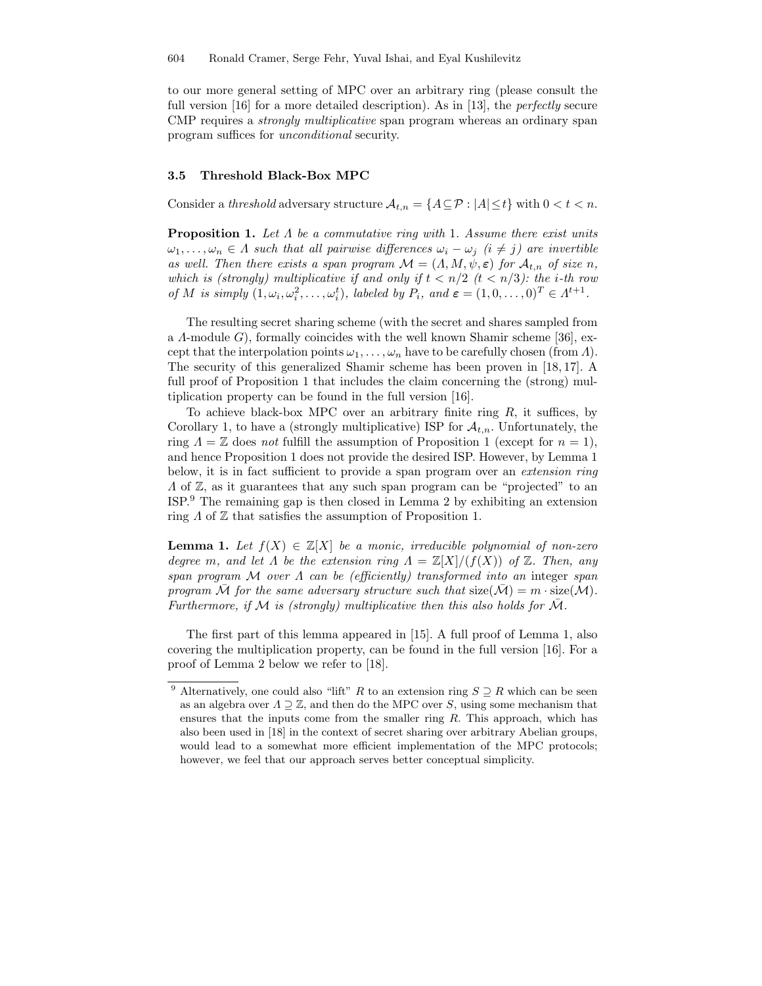to our more general setting of MPC over an arbitrary ring (please consult the full version [16] for a more detailed description). As in [13], the *perfectly* secure CMP requires a *strongly multiplicative* span program whereas an ordinary span program suffices for unconditional security.

#### 3.5 Threshold Black-Box MPC

Consider a threshold adversary structure  $\mathcal{A}_{t,n} = \{A \subseteq \mathcal{P} : |A| \leq t\}$  with  $0 < t < n$ .

**Proposition 1.** Let  $\Lambda$  be a commutative ring with 1. Assume there exist units  $\omega_1, \ldots, \omega_n \in \Lambda$  such that all pairwise differences  $\omega_i - \omega_j$  ( $i \neq j$ ) are invertible as well. Then there exists a span program  $\mathcal{M} = (\Lambda, M, \psi, \varepsilon)$  for  $\mathcal{A}_{t,n}$  of size n, which is (strongly) multiplicative if and only if  $t < n/2$  ( $t < n/3$ ): the *i*-th row of M is simply  $(1, \omega_i, \omega_i^2, \ldots, \omega_i^t)$ , labeled by  $P_i$ , and  $\varepsilon = (1, 0, \ldots, 0)^T \in \Lambda^{t+1}$ .

The resulting secret sharing scheme (with the secret and shares sampled from a  $\Lambda$ -module G), formally coincides with the well known Shamir scheme [36], except that the interpolation points  $\omega_1, \ldots, \omega_n$  have to be carefully chosen (from  $\Lambda$ ). The security of this generalized Shamir scheme has been proven in [18, 17]. A full proof of Proposition 1 that includes the claim concerning the (strong) multiplication property can be found in the full version [16].

To achieve black-box MPC over an arbitrary finite ring  $R$ , it suffices, by Corollary 1, to have a (strongly multiplicative) ISP for  $A_{t,n}$ . Unfortunately, the ring  $\Lambda = \mathbb{Z}$  does not fulfill the assumption of Proposition 1 (except for  $n = 1$ ), and hence Proposition 1 does not provide the desired ISP. However, by Lemma 1 below, it is in fact sufficient to provide a span program over an *extension ring* Λ of Z, as it guarantees that any such span program can be "projected" to an ISP. <sup>9</sup> The remaining gap is then closed in Lemma 2 by exhibiting an extension ring  $\Lambda$  of  $\mathbb Z$  that satisfies the assumption of Proposition 1.

**Lemma 1.** Let  $f(X) \in \mathbb{Z}[X]$  be a monic, irreducible polynomial of non-zero degree m, and let  $\Lambda$  be the extension ring  $\Lambda = \mathbb{Z}[X]/(f(X))$  of  $\mathbb{Z}$ . Then, any span program  $M$  over  $\Lambda$  can be (efficiently) transformed into an integer span program M for the same adversary structure such that  $size(\mathcal{M}) = m \cdot size(\mathcal{M})$ . Furthermore, if M is (strongly) multiplicative then this also holds for  $\overline{\mathcal{M}}$ .

The first part of this lemma appeared in [15]. A full proof of Lemma 1, also covering the multiplication property, can be found in the full version [16]. For a proof of Lemma 2 below we refer to [18].

<sup>&</sup>lt;sup>9</sup> Alternatively, one could also "lift" R to an extension ring  $S \supseteq R$  which can be seen as an algebra over  $\Lambda \supseteq \mathbb{Z}$ , and then do the MPC over S, using some mechanism that ensures that the inputs come from the smaller ring  $R$ . This approach, which has also been used in [18] in the context of secret sharing over arbitrary Abelian groups, would lead to a somewhat more efficient implementation of the MPC protocols; however, we feel that our approach serves better conceptual simplicity.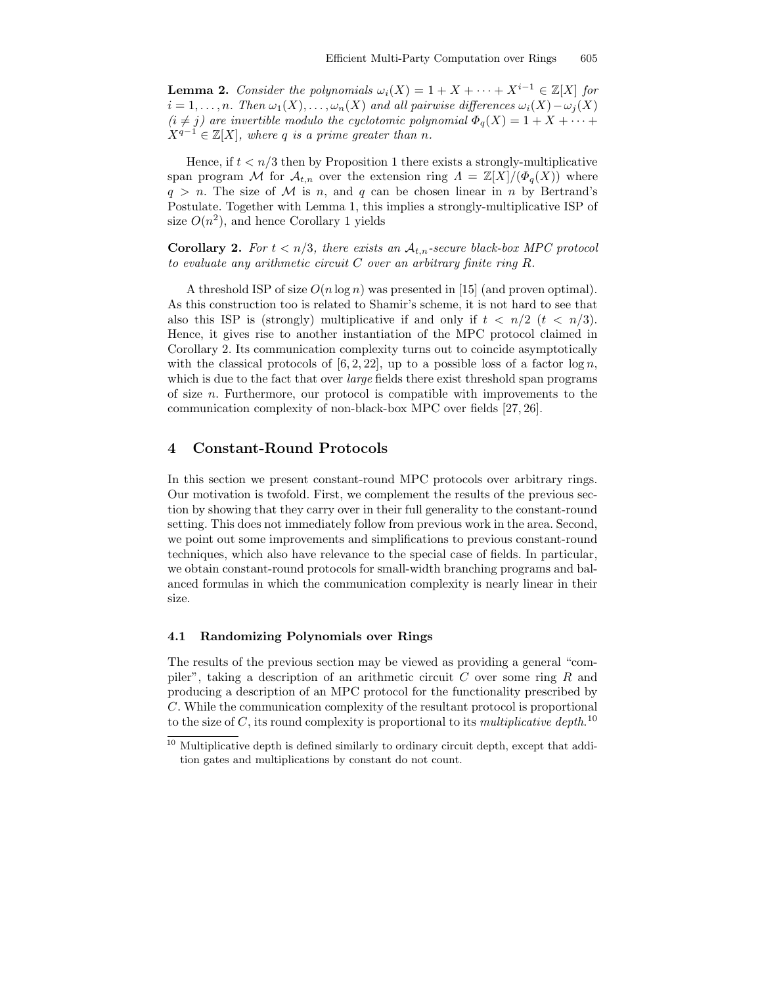**Lemma 2.** Consider the polynomials  $\omega_i(X) = 1 + X + \cdots + X^{i-1} \in \mathbb{Z}[X]$  for  $i = 1, \ldots, n$ . Then  $\omega_1(X), \ldots, \omega_n(X)$  and all pairwise differences  $\omega_i(X) - \omega_i(X)$  $(i \neq j)$  are invertible modulo the cyclotomic polynomial  $\Phi_q(X) = 1 + X + \cdots$  $X^{q-1} \in \mathbb{Z}[X]$ , where q is a prime greater than n.

Hence, if  $t < n/3$  then by Proposition 1 there exists a strongly-multiplicative span program M for  $\mathcal{A}_{t,n}$  over the extension ring  $\Lambda = \mathbb{Z}[X]/(\Phi_a(X))$  where  $q > n$ . The size of M is n, and q can be chosen linear in n by Bertrand's Postulate. Together with Lemma 1, this implies a strongly-multiplicative ISP of size  $O(n^2)$ , and hence Corollary 1 yields

**Corollary 2.** For  $t < n/3$ , there exists an  $A_{t,n}$ -secure black-box MPC protocol to evaluate any arithmetic circuit C over an arbitrary finite ring R.

A threshold ISP of size  $O(n \log n)$  was presented in [15] (and proven optimal). As this construction too is related to Shamir's scheme, it is not hard to see that also this ISP is (strongly) multiplicative if and only if  $t < n/2$  ( $t < n/3$ ). Hence, it gives rise to another instantiation of the MPC protocol claimed in Corollary 2. Its communication complexity turns out to coincide asymptotically with the classical protocols of  $[6, 2, 22]$ , up to a possible loss of a factor  $\log n$ , which is due to the fact that over *large* fields there exist threshold span programs of size n. Furthermore, our protocol is compatible with improvements to the communication complexity of non-black-box MPC over fields [27, 26].

# 4 Constant-Round Protocols

In this section we present constant-round MPC protocols over arbitrary rings. Our motivation is twofold. First, we complement the results of the previous section by showing that they carry over in their full generality to the constant-round setting. This does not immediately follow from previous work in the area. Second, we point out some improvements and simplifications to previous constant-round techniques, which also have relevance to the special case of fields. In particular, we obtain constant-round protocols for small-width branching programs and balanced formulas in which the communication complexity is nearly linear in their size.

### 4.1 Randomizing Polynomials over Rings

The results of the previous section may be viewed as providing a general "compiler", taking a description of an arithmetic circuit  $C$  over some ring  $R$  and producing a description of an MPC protocol for the functionality prescribed by C. While the communication complexity of the resultant protocol is proportional to the size of C, its round complexity is proportional to its multiplicative depth.<sup>10</sup>

 $10$  Multiplicative depth is defined similarly to ordinary circuit depth, except that addition gates and multiplications by constant do not count.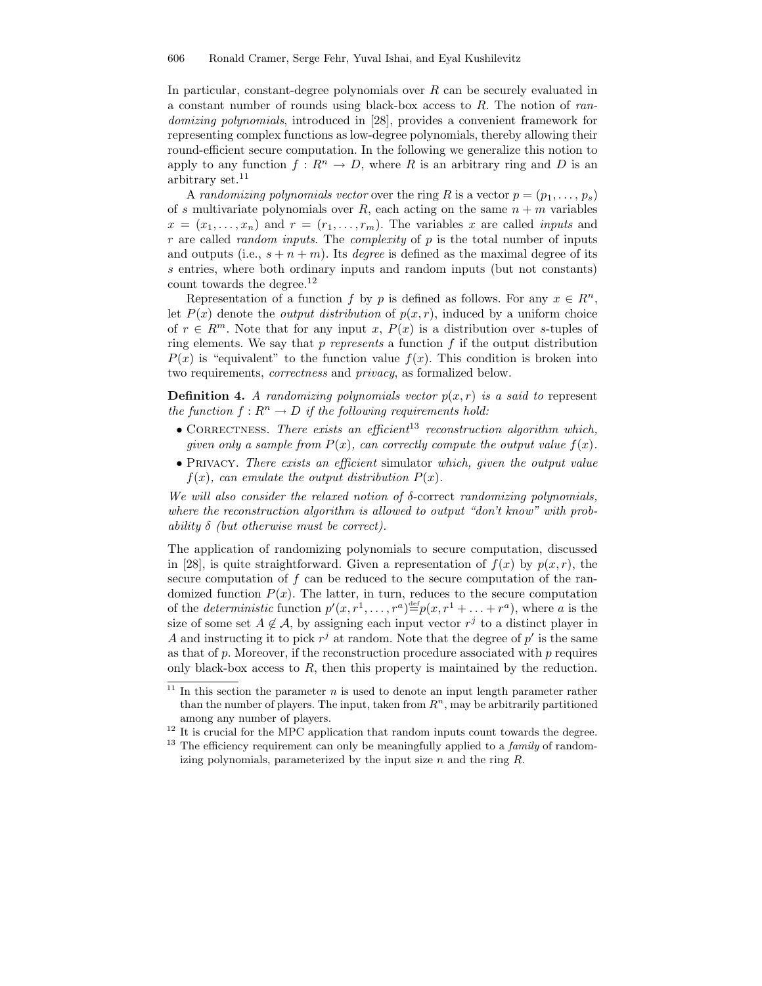In particular, constant-degree polynomials over  $R$  can be securely evaluated in a constant number of rounds using black-box access to  $R$ . The notion of randomizing polynomials, introduced in [28], provides a convenient framework for representing complex functions as low-degree polynomials, thereby allowing their round-efficient secure computation. In the following we generalize this notion to apply to any function  $f: \mathbb{R}^n \to D$ , where R is an arbitrary ring and D is an arbitrary set.<sup>11</sup>

A randomizing polynomials vector over the ring R is a vector  $p = (p_1, \ldots, p_s)$ of s multivariate polynomials over R, each acting on the same  $n + m$  variables  $x = (x_1, \ldots, x_n)$  and  $r = (r_1, \ldots, r_m)$ . The variables x are called *inputs* and  $r$  are called *random inputs*. The *complexity* of  $p$  is the total number of inputs and outputs (i.e.,  $s + n + m$ ). Its *degree* is defined as the maximal degree of its s entries, where both ordinary inputs and random inputs (but not constants) count towards the degree.<sup>12</sup>

Representation of a function f by p is defined as follows. For any  $x \in R^n$ , let  $P(x)$  denote the *output distribution* of  $p(x, r)$ , induced by a uniform choice of  $r \in \mathbb{R}^m$ . Note that for any input x,  $P(x)$  is a distribution over s-tuples of ring elements. We say that  $p$  represents a function  $f$  if the output distribution  $P(x)$  is "equivalent" to the function value  $f(x)$ . This condition is broken into two requirements, correctness and privacy, as formalized below.

**Definition 4.** A randomizing polynomials vector  $p(x,r)$  is a said to represent the function  $f: R^n \to D$  if the following requirements hold:

- CORRECTNESS. There exists an efficient<sup>13</sup> reconstruction algorithm which, given only a sample from  $P(x)$ , can correctly compute the output value  $f(x)$ .
- PRIVACY. There exists an efficient simulator which, given the output value  $f(x)$ , can emulate the output distribution  $P(x)$ .

We will also consider the relaxed notion of  $\delta$ -correct randomizing polynomials, where the reconstruction algorithm is allowed to output "don't know" with probability  $\delta$  (but otherwise must be correct).

The application of randomizing polynomials to secure computation, discussed in [28], is quite straightforward. Given a representation of  $f(x)$  by  $p(x, r)$ , the secure computation of f can be reduced to the secure computation of the randomized function  $P(x)$ . The latter, in turn, reduces to the secure computation of the *deterministic* function  $p'(x, r^1, \ldots, r^a) \stackrel{\text{def}}{=} p(x, r^1 + \ldots + r^a)$ , where a is the size of some set  $A \notin \mathcal{A}$ , by assigning each input vector  $r^j$  to a distinct player in A and instructing it to pick  $r^j$  at random. Note that the degree of  $p'$  is the same as that of p. Moreover, if the reconstruction procedure associated with  $p$  requires only black-box access to  $R$ , then this property is maintained by the reduction.

<sup>&</sup>lt;sup>11</sup> In this section the parameter  $n$  is used to denote an input length parameter rather than the number of players. The input, taken from  $R<sup>n</sup>$ , may be arbitrarily partitioned among any number of players.

 $12$  It is crucial for the MPC application that random inputs count towards the degree.

 $13$  The efficiency requirement can only be meaningfully applied to a *family* of randomizing polynomials, parameterized by the input size  $n$  and the ring  $R$ .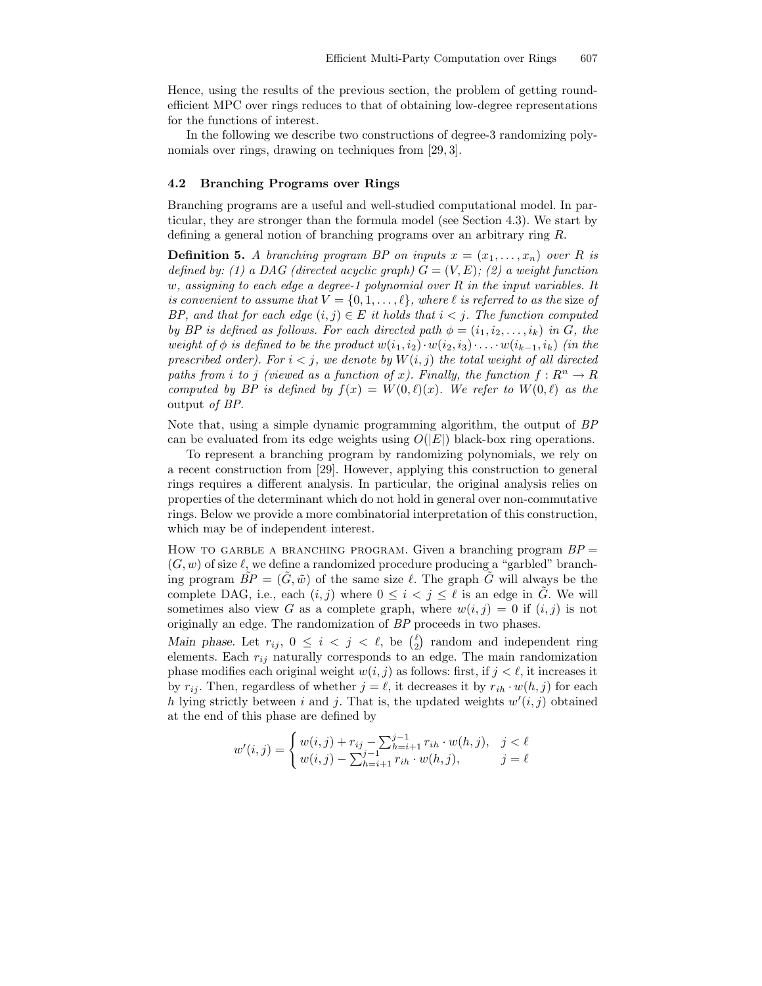Hence, using the results of the previous section, the problem of getting roundefficient MPC over rings reduces to that of obtaining low-degree representations for the functions of interest.

In the following we describe two constructions of degree-3 randomizing polynomials over rings, drawing on techniques from [29, 3].

#### 4.2 Branching Programs over Rings

Branching programs are a useful and well-studied computational model. In particular, they are stronger than the formula model (see Section 4.3). We start by defining a general notion of branching programs over an arbitrary ring R.

**Definition 5.** A branching program BP on inputs  $x = (x_1, \ldots, x_n)$  over R is defined by: (1) a DAG (directed acyclic graph)  $G = (V, E)$ ; (2) a weight function w, assigning to each edge a degree-1 polynomial over  $R$  in the input variables. It is convenient to assume that  $V = \{0, 1, \ldots, \ell\}$ , where  $\ell$  is referred to as the size of BP, and that for each edge  $(i, j) \in E$  it holds that  $i < j$ . The function computed by BP is defined as follows. For each directed path  $\phi = (i_1, i_2, \ldots, i_k)$  in G, the weight of  $\phi$  is defined to be the product  $w(i_1,i_2)\cdot w(i_2,i_3)\cdot \ldots \cdot w(i_{k-1},i_k)$  (in the prescribed order). For  $i < j$ , we denote by  $W(i, j)$  the total weight of all directed paths from i to j (viewed as a function of x). Finally, the function  $f: \mathbb{R}^n \to \mathbb{R}$ computed by BP is defined by  $f(x) = W(0, \ell)(x)$ . We refer to  $W(0, \ell)$  as the output of BP.

Note that, using a simple dynamic programming algorithm, the output of BP can be evaluated from its edge weights using  $O(|E|)$  black-box ring operations.

To represent a branching program by randomizing polynomials, we rely on a recent construction from [29]. However, applying this construction to general rings requires a different analysis. In particular, the original analysis relies on properties of the determinant which do not hold in general over non-commutative rings. Below we provide a more combinatorial interpretation of this construction, which may be of independent interest.

How to GARBLE A BRANCHING PROGRAM. Given a branching program  $BP =$  $(G, w)$  of size  $\ell$ , we define a randomized procedure producing a "garbled" branching program  $BP = (G, \tilde{w})$  of the same size  $\ell$ . The graph G will always be the complete DAG, i.e., each  $(i, j)$  where  $0 \leq i < j \leq \ell$  is an edge in G. We will sometimes also view G as a complete graph, where  $w(i, j) = 0$  if  $(i, j)$  is not originally an edge. The randomization of BP proceeds in two phases.

Main phase. Let  $r_{ij}$ ,  $0 \leq i \leq j \leq \ell$ , be  $\binom{\ell}{2}$  random and independent ring elements. Each  $r_{ij}$  naturally corresponds to an edge. The main randomization phase modifies each original weight  $w(i, j)$  as follows: first, if  $j < \ell$ , it increases it by  $r_{ij}$ . Then, regardless of whether  $j = \ell$ , it decreases it by  $r_{ih} \cdot w(h, j)$  for each h lying strictly between i and j. That is, the updated weights  $w'(i, j)$  obtained at the end of this phase are defined by

$$
w'(i,j) = \begin{cases} w(i,j) + r_{ij} - \sum_{h=i+1}^{j-1} r_{ih} \cdot w(h,j), & j < \ell \\ w(i,j) - \sum_{h=i+1}^{j-1} r_{ih} \cdot w(h,j), & j = \ell \end{cases}
$$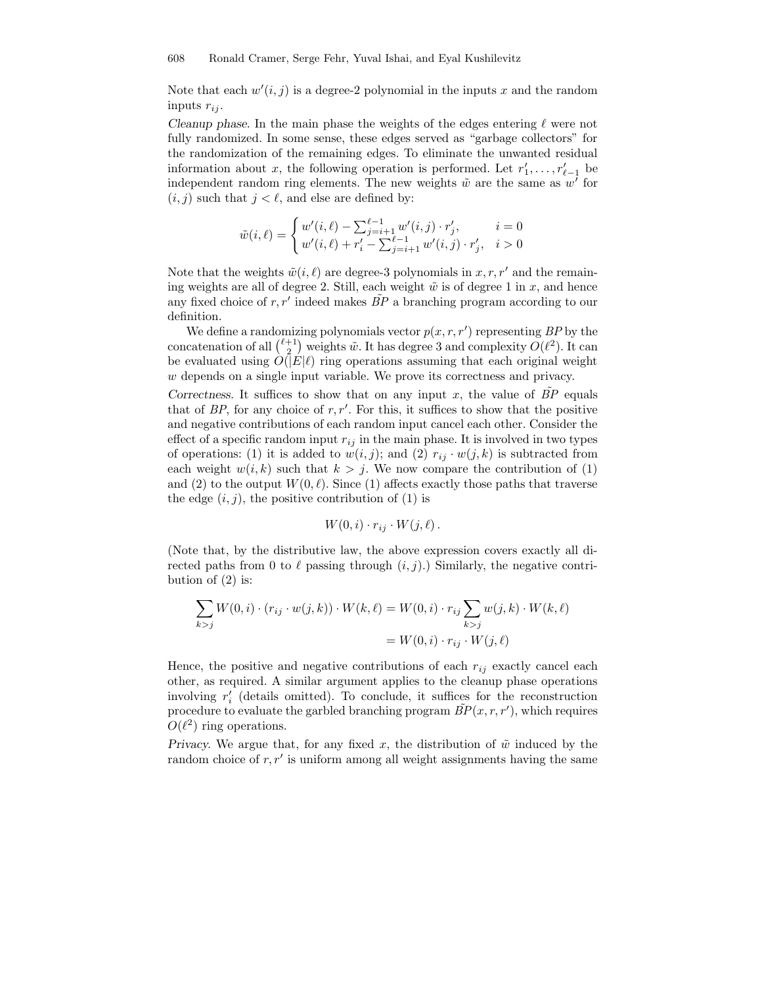Note that each  $w'(i, j)$  is a degree-2 polynomial in the inputs x and the random inputs  $r_{ij}$ .

Cleanup phase. In the main phase the weights of the edges entering  $\ell$  were not fully randomized. In some sense, these edges served as "garbage collectors" for the randomization of the remaining edges. To eliminate the unwanted residual information about x, the following operation is performed. Let  $r'_1, \ldots, r'_{\ell-1}$  be independent random ring elements. The new weights  $\tilde{w}$  are the same as w' for  $(i, j)$  such that  $j < \ell$ , and else are defined by:

$$
\tilde{w}(i,\ell) = \begin{cases}\nw'(i,\ell) - \sum_{j=i+1}^{\ell-1} w'(i,j) \cdot r'_j, & i = 0 \\
w'(i,\ell) + r'_i - \sum_{j=i+1}^{\ell-1} w'(i,j) \cdot r'_j, & i > 0\n\end{cases}
$$

Note that the weights  $\tilde{w}(i, \ell)$  are degree-3 polynomials in  $x, r, r'$  and the remaining weights are all of degree 2. Still, each weight  $\tilde{w}$  is of degree 1 in x, and hence any fixed choice of  $r, r'$  indeed makes  $\tilde{BP}$  a branching program according to our definition.

We define a randomizing polynomials vector  $p(x, r, r')$  representing  $BP$  by the concatenation of all  $\binom{\ell+1}{2}$  weights  $\tilde{w}$ . It has degree 3 and complexity  $O(\ell^2)$ . It can be evaluated using  $O(|E|\ell)$  ring operations assuming that each original weight w depends on a single input variable. We prove its correctness and privacy.

Correctness. It suffices to show that on any input x, the value of  $BP$  equals that of  $BP$ , for any choice of  $r, r'$ . For this, it suffices to show that the positive and negative contributions of each random input cancel each other. Consider the effect of a specific random input  $r_{ij}$  in the main phase. It is involved in two types of operations: (1) it is added to  $w(i, j)$ ; and (2)  $r_{ij} \cdot w(j, k)$  is subtracted from each weight  $w(i, k)$  such that  $k > j$ . We now compare the contribution of (1) and (2) to the output  $W(0, \ell)$ . Since (1) affects exactly those paths that traverse the edge  $(i, j)$ , the positive contribution of  $(1)$  is

$$
W(0,i)\cdot r_{ij}\cdot W(j,\ell).
$$

(Note that, by the distributive law, the above expression covers exactly all directed paths from 0 to  $\ell$  passing through  $(i, j)$ .) Similarly, the negative contribution of  $(2)$  is:

$$
\sum_{k>j} W(0,i) \cdot (r_{ij} \cdot w(j,k)) \cdot W(k,\ell) = W(0,i) \cdot r_{ij} \sum_{k>j} w(j,k) \cdot W(k,\ell)
$$

$$
= W(0,i) \cdot r_{ij} \cdot W(j,\ell)
$$

Hence, the positive and negative contributions of each  $r_{ij}$  exactly cancel each other, as required. A similar argument applies to the cleanup phase operations involving  $r_i'$  (details omitted). To conclude, it suffices for the reconstruction procedure to evaluate the garbled branching program  $\tilde{BP}(x, r, r')$ , which requires  $O(\ell^2)$  ring operations.

Privacy. We argue that, for any fixed x, the distribution of  $\tilde{w}$  induced by the random choice of  $r, r'$  is uniform among all weight assignments having the same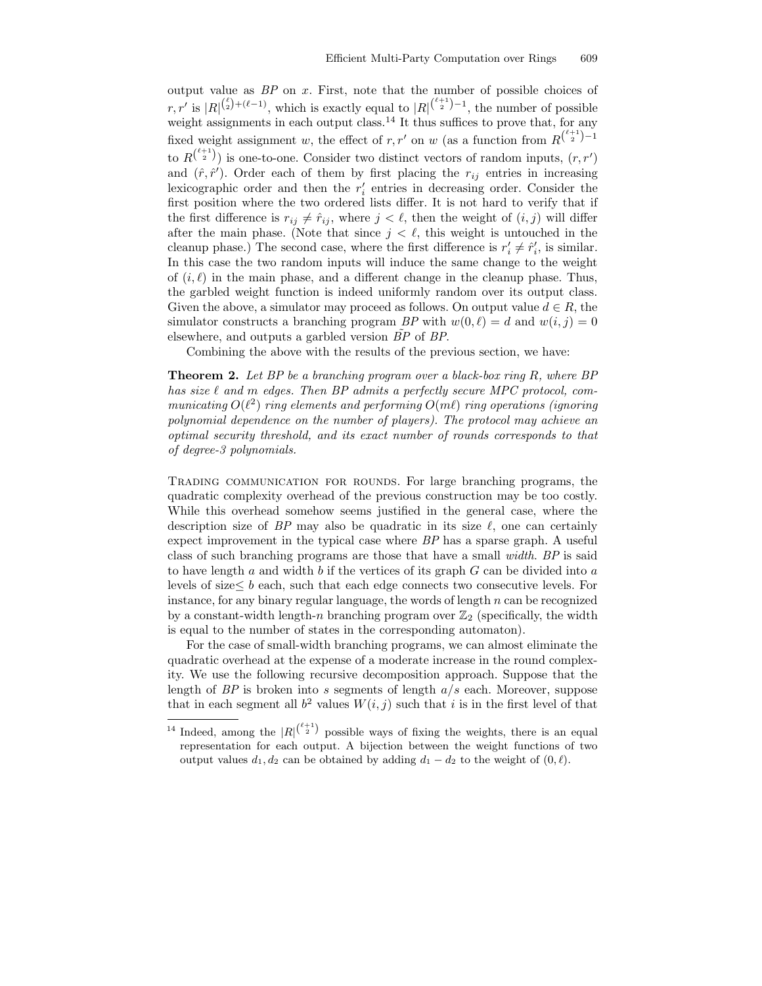output value as  $BP$  on  $x$ . First, note that the number of possible choices of r, r' is  $|R|^{(\ell)}$ +( $\ell$ -1), which is exactly equal to  $|R|^{(\ell+1)}$ , the number of possible weight assignments in each output class.<sup>14</sup> It thus suffices to prove that, for any fixed weight assignment w, the effect of r, r' on w (as a function from  $R^{(\ell+1)-1}$ to  $R^{(\ell+1)}$  is one-to-one. Consider two distinct vectors of random inputs,  $(r, r')$ and  $(\hat{r}, \hat{r}')$ . Order each of them by first placing the  $r_{ij}$  entries in increasing lexicographic order and then the  $r_i'$  entries in decreasing order. Consider the first position where the two ordered lists differ. It is not hard to verify that if the first difference is  $r_{ij} \neq \hat{r}_{ij}$ , where  $j < \ell$ , then the weight of  $(i, j)$  will differ after the main phase. (Note that since  $j < \ell$ , this weight is untouched in the cleanup phase.) The second case, where the first difference is  $r'_i \neq \hat{r}'_i$ , is similar. In this case the two random inputs will induce the same change to the weight of  $(i, \ell)$  in the main phase, and a different change in the cleanup phase. Thus, the garbled weight function is indeed uniformly random over its output class. Given the above, a simulator may proceed as follows. On output value  $d \in R$ , the simulator constructs a branching program BP with  $w(0, \ell) = d$  and  $w(i, j) = 0$ elsewhere, and outputs a garbled version  $\widetilde{BP}$  of  $BP$ .

Combining the above with the results of the previous section, we have:

**Theorem 2.** Let  $BP$  be a branching program over a black-box ring  $R$ , where  $BP$ has size  $\ell$  and m edges. Then BP admits a perfectly secure MPC protocol, communicating  $O(\ell^2)$  ring elements and performing  $O(m\ell)$  ring operations (ignoring polynomial dependence on the number of players). The protocol may achieve an optimal security threshold, and its exact number of rounds corresponds to that of degree-3 polynomials.

Trading communication for rounds. For large branching programs, the quadratic complexity overhead of the previous construction may be too costly. While this overhead somehow seems justified in the general case, where the description size of BP may also be quadratic in its size  $\ell$ , one can certainly expect improvement in the typical case where BP has a sparse graph. A useful class of such branching programs are those that have a small width. BP is said to have length a and width b if the vertices of its graph  $G$  can be divided into a levels of size $\leq b$  each, such that each edge connects two consecutive levels. For instance, for any binary regular language, the words of length  $n$  can be recognized by a constant-width length-n branching program over  $\mathbb{Z}_2$  (specifically, the width is equal to the number of states in the corresponding automaton).

For the case of small-width branching programs, we can almost eliminate the quadratic overhead at the expense of a moderate increase in the round complexity. We use the following recursive decomposition approach. Suppose that the length of  $BP$  is broken into s segments of length  $a/s$  each. Moreover, suppose that in each segment all  $b^2$  values  $W(i, j)$  such that i is in the first level of that

<sup>&</sup>lt;sup>14</sup> Indeed, among the  $|R|^{(\ell+1)}$  possible ways of fixing the weights, there is an equal representation for each output. A bijection between the weight functions of two output values  $d_1, d_2$  can be obtained by adding  $d_1 - d_2$  to the weight of  $(0, \ell)$ .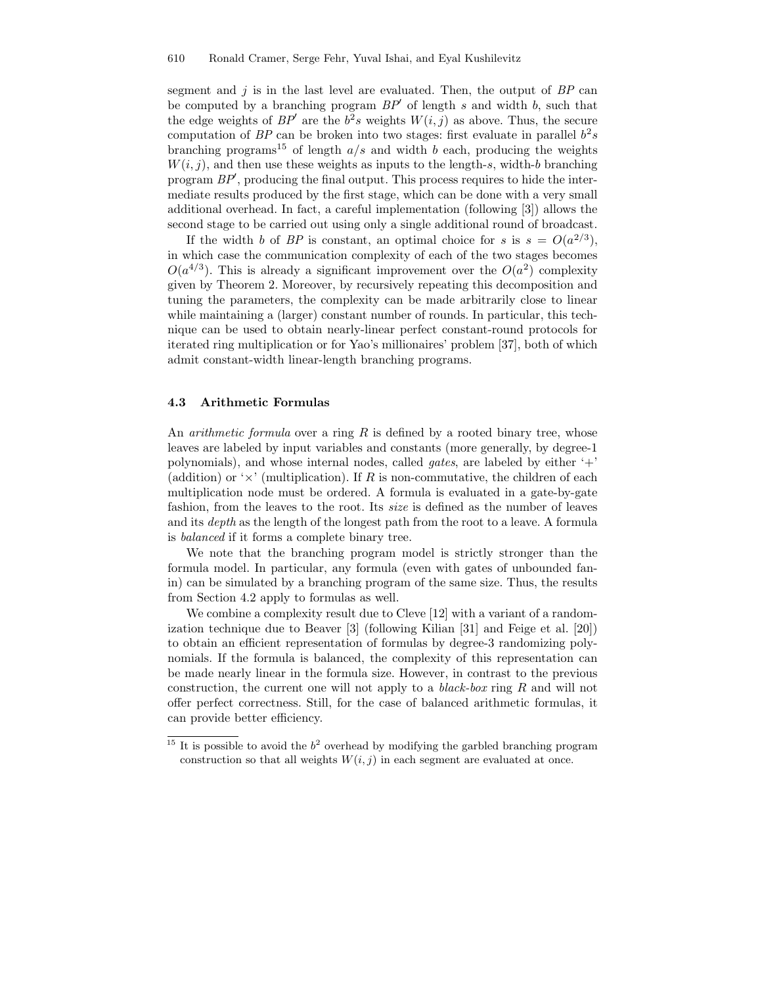segment and  $j$  is in the last level are evaluated. Then, the output of  $BP$  can be computed by a branching program  $BP'$  of length s and width b, such that the edge weights of  $BP'$  are the  $b^2s$  weights  $W(i, j)$  as above. Thus, the secure computation of  $BP$  can be broken into two stages: first evaluate in parallel  $b^2s$ branching programs<sup>15</sup> of length  $a/s$  and width b each, producing the weights  $W(i, j)$ , and then use these weights as inputs to the length-s, width-b branching program  $BP'$ , producing the final output. This process requires to hide the intermediate results produced by the first stage, which can be done with a very small additional overhead. In fact, a careful implementation (following [3]) allows the second stage to be carried out using only a single additional round of broadcast.

If the width b of BP is constant, an optimal choice for s is  $s = O(a^{2/3})$ , in which case the communication complexity of each of the two stages becomes  $O(a^{4/3})$ . This is already a significant improvement over the  $O(a^2)$  complexity given by Theorem 2. Moreover, by recursively repeating this decomposition and tuning the parameters, the complexity can be made arbitrarily close to linear while maintaining a (larger) constant number of rounds. In particular, this technique can be used to obtain nearly-linear perfect constant-round protocols for iterated ring multiplication or for Yao's millionaires' problem [37], both of which admit constant-width linear-length branching programs.

### 4.3 Arithmetic Formulas

An *arithmetic formula* over a ring  $R$  is defined by a rooted binary tree, whose leaves are labeled by input variables and constants (more generally, by degree-1 polynomials), and whose internal nodes, called *gates*, are labeled by either  $+$ (addition) or ' $\times$ ' (multiplication). If R is non-commutative, the children of each multiplication node must be ordered. A formula is evaluated in a gate-by-gate fashion, from the leaves to the root. Its size is defined as the number of leaves and its depth as the length of the longest path from the root to a leave. A formula is balanced if it forms a complete binary tree.

We note that the branching program model is strictly stronger than the formula model. In particular, any formula (even with gates of unbounded fanin) can be simulated by a branching program of the same size. Thus, the results from Section 4.2 apply to formulas as well.

We combine a complexity result due to Cleve [12] with a variant of a randomization technique due to Beaver [3] (following Kilian [31] and Feige et al. [20]) to obtain an efficient representation of formulas by degree-3 randomizing polynomials. If the formula is balanced, the complexity of this representation can be made nearly linear in the formula size. However, in contrast to the previous construction, the current one will not apply to a  $black-box$  ring  $R$  and will not offer perfect correctness. Still, for the case of balanced arithmetic formulas, it can provide better efficiency.

<sup>&</sup>lt;sup>15</sup> It is possible to avoid the  $b<sup>2</sup>$  overhead by modifying the garbled branching program construction so that all weights  $W(i, j)$  in each segment are evaluated at once.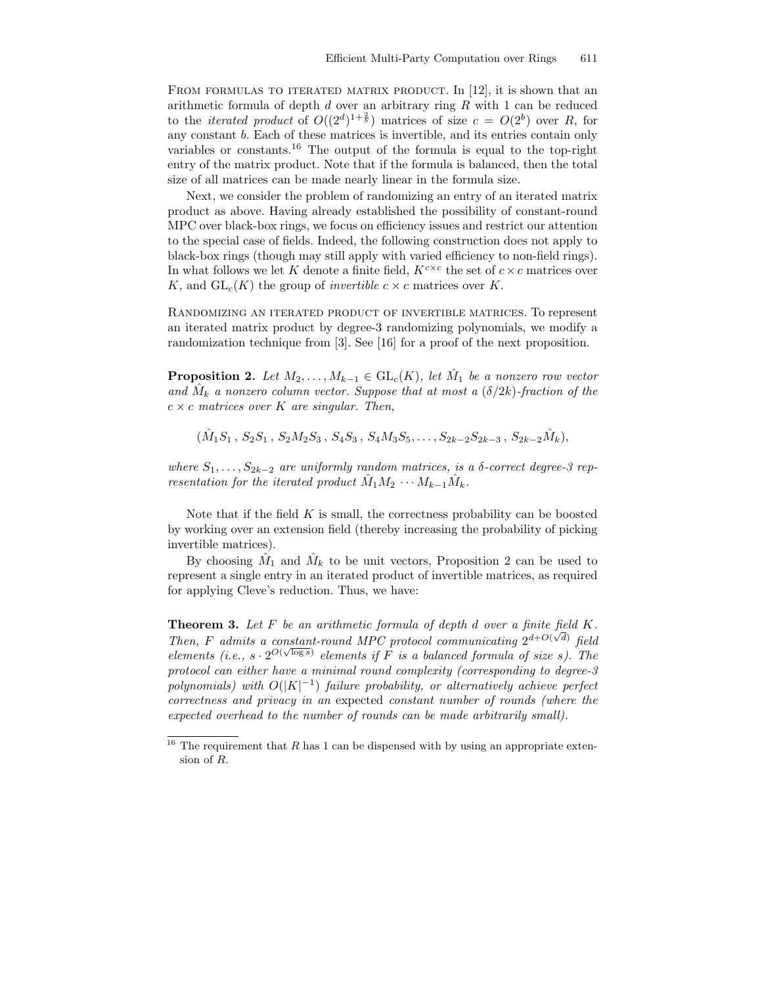FROM FORMULAS TO ITERATED MATRIX PRODUCT. In  $[12]$ , it is shown that an arithmetic formula of depth  $d$  over an arbitrary ring  $R$  with 1 can be reduced to the *iterated product* of  $O((2^d)^{1+\frac{2}{b}})$  matrices of size  $c = O(2^b)$  over R, for any constant b. Each of these matrices is invertible, and its entries contain only variables or constants.<sup>16</sup> The output of the formula is equal to the top-right entry of the matrix product. Note that if the formula is balanced, then the total size of all matrices can be made nearly linear in the formula size.

Next, we consider the problem of randomizing an entry of an iterated matrix product as above. Having already established the possibility of constant-round MPC over black-box rings, we focus on efficiency issues and restrict our attention to the special case of fields. Indeed, the following construction does not apply to black-box rings (though may still apply with varied efficiency to non-field rings). In what follows we let K denote a finite field,  $K^{c \times c}$  the set of  $c \times c$  matrices over K, and  $GL<sub>c</sub>(K)$  the group of *invertible*  $c \times c$  matrices over K.

Randomizing an iterated product of invertible matrices. To represent an iterated matrix product by degree-3 randomizing polynomials, we modify a randomization technique from [3]. See [16] for a proof of the next proposition.

**Proposition 2.** Let  $M_2, \ldots, M_{k-1} \in GL_c(K)$ , let  $\hat{M}_1$  be a nonzero row vector and  $\hat{M}_k$  a nonzero column vector. Suppose that at most a  $(\delta/2k)$ -fraction of the  $c \times c$  matrices over K are singular. Then,

$$
(\hat{M}_1S_1, S_2S_1, S_2M_2S_3, S_4S_3, S_4M_3S_5, \ldots, S_{2k-2}S_{2k-3}, S_{2k-2}\hat{M}_k),
$$

where  $S_1, \ldots, S_{2k-2}$  are uniformly random matrices, is a  $\delta$ -correct degree-3 representation for the iterated product  $\hat{M}_1 M_2 \cdots M_{k-1} \hat{M}_k$ .

Note that if the field  $K$  is small, the correctness probability can be boosted by working over an extension field (thereby increasing the probability of picking invertible matrices).

By choosing  $\hat{M}_1$  and  $\hat{M}_k$  to be unit vectors, Proposition 2 can be used to represent a single entry in an iterated product of invertible matrices, as required for applying Cleve's reduction. Thus, we have:

**Theorem 3.** Let  $F$  be an arithmetic formula of depth  $d$  over a finite field  $K$ . Then, F admits a constant-round MPC protocol communicating  $2^{d+O(\sqrt{d})}$  field elements (i.e.,  $s \cdot 2^{O(\sqrt{\log s})}$  elements if F is a balanced formula of size s). The protocol can either have a minimal round complexity (corresponding to degree-3 polynomials) with  $O(|K|^{-1})$  failure probability, or alternatively achieve perfect correctness and privacy in an expected constant number of rounds (where the expected overhead to the number of rounds can be made arbitrarily small).

<sup>&</sup>lt;sup>16</sup> The requirement that R has 1 can be dispensed with by using an appropriate extension of R.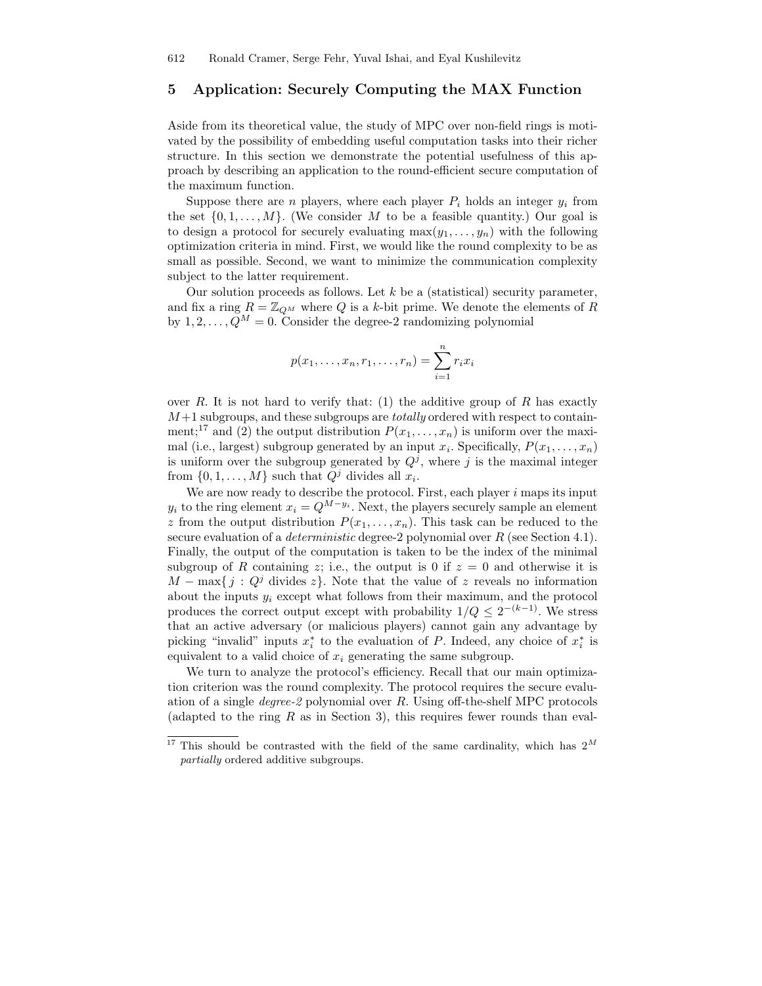## 5 Application: Securely Computing the MAX Function

Aside from its theoretical value, the study of MPC over non-field rings is motivated by the possibility of embedding useful computation tasks into their richer structure. In this section we demonstrate the potential usefulness of this approach by describing an application to the round-efficient secure computation of the maximum function.

Suppose there are *n* players, where each player  $P_i$  holds an integer  $y_i$  from the set  $\{0, 1, \ldots, M\}$ . (We consider M to be a feasible quantity.) Our goal is to design a protocol for securely evaluating  $max(y_1, \ldots, y_n)$  with the following optimization criteria in mind. First, we would like the round complexity to be as small as possible. Second, we want to minimize the communication complexity subject to the latter requirement.

Our solution proceeds as follows. Let  $k$  be a (statistical) security parameter, and fix a ring  $R = \mathbb{Z}_{Q^M}$  where Q is a k-bit prime. We denote the elements of R by  $1, 2, \ldots, Q^M = 0$ . Consider the degree-2 randomizing polynomial

$$
p(x_1,\ldots,x_n,r_1,\ldots,r_n)=\sum_{i=1}^n r_ix_i
$$

over R. It is not hard to verify that: (1) the additive group of R has exactly  $M+1$  subgroups, and these subgroups are *totally* ordered with respect to containment;<sup>17</sup> and (2) the output distribution  $P(x_1, \ldots, x_n)$  is uniform over the maximal (i.e., largest) subgroup generated by an input  $x_i$ . Specifically,  $P(x_1, \ldots, x_n)$ is uniform over the subgroup generated by  $Q<sup>j</sup>$ , where j is the maximal integer from  $\{0, 1, \ldots, M\}$  such that  $Q^j$  divides all  $x_i$ .

We are now ready to describe the protocol. First, each player  $i$  maps its input  $y_i$  to the ring element  $x_i = Q^{M-y_i}$ . Next, the players securely sample an element z from the output distribution  $P(x_1, \ldots, x_n)$ . This task can be reduced to the secure evaluation of a *deterministic* degree-2 polynomial over  $R$  (see Section 4.1). Finally, the output of the computation is taken to be the index of the minimal subgroup of R containing z; i.e., the output is 0 if  $z = 0$  and otherwise it is  $M - \max\{j : Q^j$  divides z}. Note that the value of z reveals no information about the inputs  $y_i$  except what follows from their maximum, and the protocol produces the correct output except with probability  $1/Q \leq 2^{-(k-1)}$ . We stress that an active adversary (or malicious players) cannot gain any advantage by picking "invalid" inputs  $x_i^*$  to the evaluation of P. Indeed, any choice of  $x_i^*$  is equivalent to a valid choice of  $x_i$  generating the same subgroup.

We turn to analyze the protocol's efficiency. Recall that our main optimization criterion was the round complexity. The protocol requires the secure evaluation of a single *degree-2* polynomial over R. Using off-the-shelf MPC protocols (adapted to the ring  $R$  as in Section 3), this requires fewer rounds than eval-

<sup>&</sup>lt;sup>17</sup> This should be contrasted with the field of the same cardinality, which has  $2^M$ partially ordered additive subgroups.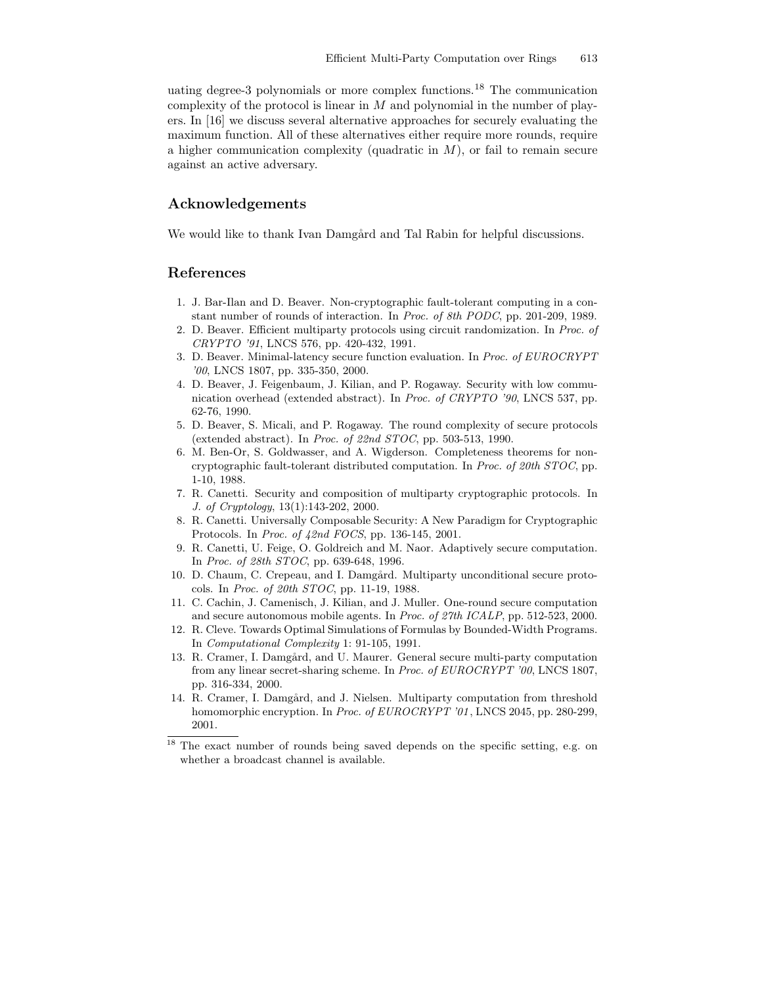uating degree-3 polynomials or more complex functions.<sup>18</sup> The communication complexity of the protocol is linear in  $M$  and polynomial in the number of players. In [16] we discuss several alternative approaches for securely evaluating the maximum function. All of these alternatives either require more rounds, require a higher communication complexity (quadratic in  $M$ ), or fail to remain secure against an active adversary.

# Acknowledgements

We would like to thank Ivan Damgård and Tal Rabin for helpful discussions.

# References

- 1. J. Bar-Ilan and D. Beaver. Non-cryptographic fault-tolerant computing in a constant number of rounds of interaction. In Proc. of 8th PODC, pp. 201-209, 1989.
- 2. D. Beaver. Efficient multiparty protocols using circuit randomization. In Proc. of CRYPTO '91, LNCS 576, pp. 420-432, 1991.
- 3. D. Beaver. Minimal-latency secure function evaluation. In Proc. of EUROCRYPT '00, LNCS 1807, pp. 335-350, 2000.
- 4. D. Beaver, J. Feigenbaum, J. Kilian, and P. Rogaway. Security with low communication overhead (extended abstract). In Proc. of CRYPTO '90, LNCS 537, pp. 62-76, 1990.
- 5. D. Beaver, S. Micali, and P. Rogaway. The round complexity of secure protocols (extended abstract). In Proc. of 22nd STOC, pp. 503-513, 1990.
- 6. M. Ben-Or, S. Goldwasser, and A. Wigderson. Completeness theorems for noncryptographic fault-tolerant distributed computation. In Proc. of 20th STOC, pp. 1-10, 1988.
- 7. R. Canetti. Security and composition of multiparty cryptographic protocols. In J. of Cryptology, 13(1):143-202, 2000.
- 8. R. Canetti. Universally Composable Security: A New Paradigm for Cryptographic Protocols. In Proc. of 42nd FOCS, pp. 136-145, 2001.
- 9. R. Canetti, U. Feige, O. Goldreich and M. Naor. Adaptively secure computation. In Proc. of 28th STOC, pp. 639-648, 1996.
- 10. D. Chaum, C. Crepeau, and I. Damgård. Multiparty unconditional secure protocols. In Proc. of 20th STOC, pp. 11-19, 1988.
- 11. C. Cachin, J. Camenisch, J. Kilian, and J. Muller. One-round secure computation and secure autonomous mobile agents. In Proc. of 27th ICALP, pp. 512-523, 2000.
- 12. R. Cleve. Towards Optimal Simulations of Formulas by Bounded-Width Programs. In Computational Complexity 1: 91-105, 1991.
- 13. R. Cramer, I. Damgård, and U. Maurer. General secure multi-party computation from any linear secret-sharing scheme. In Proc. of EUROCRYPT '00, LNCS 1807, pp. 316-334, 2000.
- 14. R. Cramer, I. Damgård, and J. Nielsen. Multiparty computation from threshold homomorphic encryption. In Proc. of EUROCRYPT '01, LNCS 2045, pp. 280-299, 2001.

<sup>18</sup> The exact number of rounds being saved depends on the specific setting, e.g. on whether a broadcast channel is available.